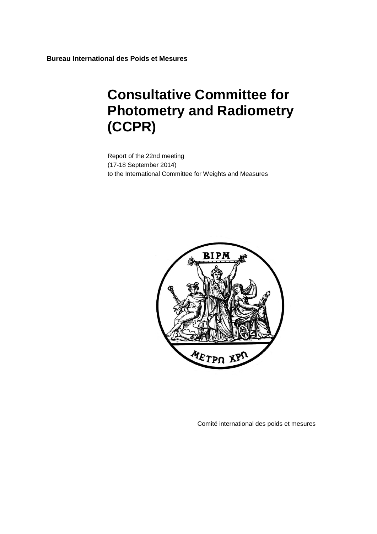**Bureau International des Poids et Mesures**

# **Consultative Committee for Photometry and Radiometry (CCPR)**

Report of the 22nd meeting (17-18 September 2014) to the International Committee for Weights and Measures



Comité international des poids et mesures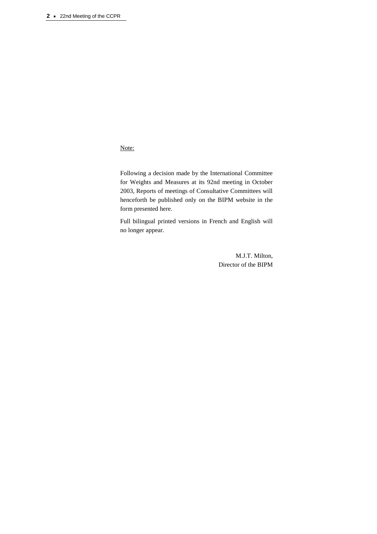Note:

Following a decision made by the International Committee for Weights and Measures at its 92nd meeting in October 2003, Reports of meetings of Consultative Committees will henceforth be published only on the BIPM website in the form presented here.

Full bilingual printed versions in French and English will no longer appear.

> M.J.T. Milton, Director of the BIPM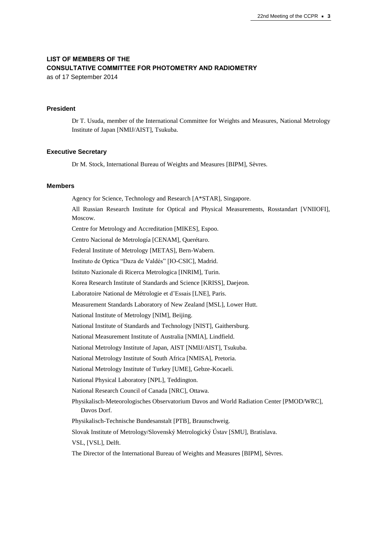## **LIST OF MEMBERS OF THE CONSULTATIVE COMMITTEE FOR PHOTOMETRY AND RADIOMETRY**

as of 17 September 2014

#### **President**

Dr T. Usuda, member of the International Committee for Weights and Measures, National Metrology Institute of Japan [NMIJ/AIST], Tsukuba.

#### **Executive Secretary**

Dr M. Stock, International Bureau of Weights and Measures [BIPM], Sèvres.

#### **Members**

Agency for Science, Technology and Research [A\*STAR], Singapore. All Russian Research Institute for Optical and Physical Measurements, Rosstandart [VNIIOFI], Moscow. Centre for Metrology and Accreditation [MIKES], Espoo. Centro Nacional de Metrología [CENAM], Querétaro. Federal Institute of Metrology [METAS], Bern-Wabern. Instituto de Optica "Daza de Valdés" [IO-CSIC], Madrid. Istituto Nazionale di Ricerca Metrologica [INRIM], Turin. Korea Research Institute of Standards and Science [KRISS], Daejeon. Laboratoire National de Métrologie et d'Essais [LNE], Paris. Measurement Standards Laboratory of New Zealand [MSL], Lower Hutt. National Institute of Metrology [NIM], Beijing. National Institute of Standards and Technology [NIST], Gaithersburg. National Measurement Institute of Australia [NMIA], Lindfield. National Metrology Institute of Japan, AIST [NMIJ/AIST], Tsukuba. National Metrology Institute of South Africa [NMISA], Pretoria. National Metrology Institute of Turkey [UME], Gebze-Kocaeli. National Physical Laboratory [NPL], Teddington. National Research Council of Canada [NRC], Ottawa. Physikalisch-Meteorologisches Observatorium Davos and World Radiation Center [PMOD/WRC], Davos Dorf. Physikalisch-Technische Bundesanstalt [PTB], Braunschweig. Slovak Institute of Metrology/Slovenský Metrologický Ústav [SMU], Bratislava. VSL, [VSL], Delft. The Director of the International Bureau of Weights and Measures [BIPM], Sèvres.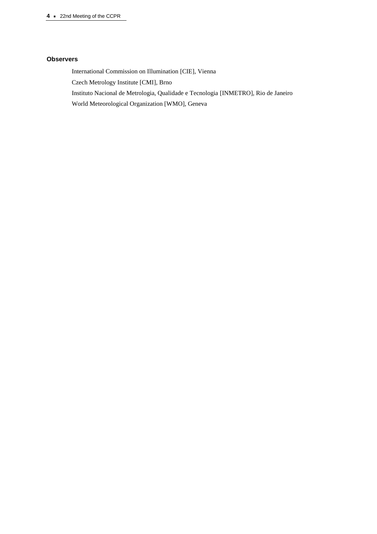## **4 ·** 22nd Meeting of the CCPR

#### **Observers**

International Commission on Illumination [CIE], Vienna

Czech Metrology Institute [CMI], Brno

Instituto Nacional de Metrologia, Qualidade e Tecnologia [INMETRO], Rio de Janeiro

World Meteorological Organization [WMO], Geneva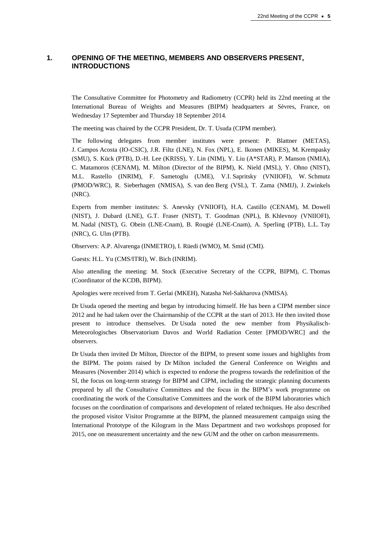## **1. OPENING OF THE MEETING, MEMBERS AND OBSERVERS PRESENT, INTRODUCTIONS**

The Consultative Committee for Photometry and Radiometry (CCPR) held its 22nd meeting at the International Bureau of Weights and Measures (BIPM) headquarters at Sèvres, France, on Wednesday 17 September and Thursday 18 September 2014.

The meeting was chaired by the CCPR President, Dr. T. Usuda (CIPM member).

The following delegates from member institutes were present: P. Blattner (METAS), J. Campos Acosta (IO-CSIC), J.R. Filtz (LNE), N. Fox (NPL), E. Ikonen (MIKES), M. Krempasky (SMU), S. Kück (PTB), D.-H. Lee (KRISS), Y. Lin (NIM), Y. Liu (A\*STAR), P. Manson (NMIA), C. Matamoros (CENAM), M. Milton (Director of the BIPM), K. Nield (MSL), Y. Ohno (NIST), M.L. Rastello (INRIM), F. Sametoglu (UME), V.I. Sapritsky (VNIIOFI), W. Schmutz (PMOD/WRC), R. Sieberhagen (NMISA), S. van den Berg (VSL), T. Zama (NMIJ), J. Zwinkels (NRC).

Experts from member institutes: S. Anevsky (VNIIOFI), H.A. Castillo (CENAM), M. Dowell (NIST), J. Dubard (LNE), G.T. Fraser (NIST), T. Goodman (NPL), B. Khlevnoy (VNIIOFI), M. Nadal (NIST), G. Obein (LNE-Cnam), B. Rougié (LNE-Cnam), A. Sperling (PTB), L.L. Tay (NRC), G. Ulm (PTB).

Observers: A.P. Alvarenga (INMETRO), I. Rüedi (WMO), M. Smid (CMI).

Guests: H.L. Yu (CMS/ITRI), W. Bich (INRIM).

Also attending the meeting: M. Stock (Executive Secretary of the CCPR, BIPM), C. Thomas (Coordinator of the KCDB, BIPM).

Apologies were received from T. Gerlai (MKEH), Natasha Nel-Sakharova (NMISA).

Dr Usuda opened the meeting and began by introducing himself. He has been a CIPM member since 2012 and he had taken over the Chairmanship of the CCPR at the start of 2013. He then invited those present to introduce themselves. Dr Usuda noted the new member from Physikalisch-Meteorologisches Observatorium Davos and World Radiation Center [PMOD/WRC] and the observers.

Dr Usuda then invited Dr Milton, Director of the BIPM, to present some issues and highlights from the BIPM. The points raised by Dr Milton included the General Conference on Weights and Measures (November 2014) which is expected to endorse the progress towards the redefinition of the SI, the focus on long-term strategy for BIPM and CIPM, including the strategic planning documents prepared by all the Consultative Committees and the focus in the BIPM's work programme on coordinating the work of the Consultative Committees and the work of the BIPM laboratories which focuses on the coordination of comparisons and development of related techniques. He also described the proposed visitor Visitor Programme at the BIPM, the planned measurement campaign using the International Prototype of the Kilogram in the Mass Department and two workshops proposed for 2015, one on measurement uncertainty and the new GUM and the other on carbon measurements.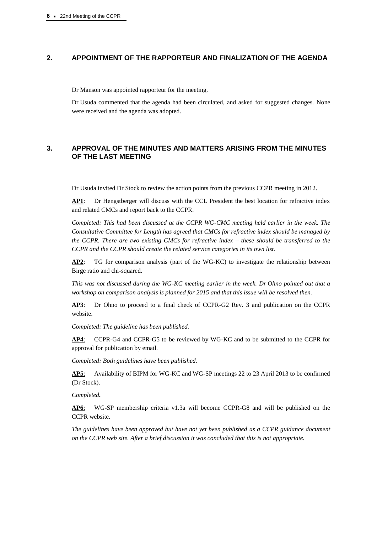## **2. APPOINTMENT OF THE RAPPORTEUR AND FINALIZATION OF THE AGENDA**

Dr Manson was appointed rapporteur for the meeting.

Dr Usuda commented that the agenda had been circulated, and asked for suggested changes. None were received and the agenda was adopted.

## **3. APPROVAL OF THE MINUTES AND MATTERS ARISING FROM THE MINUTES OF THE LAST MEETING**

Dr Usuda invited Dr Stock to review the action points from the previous CCPR meeting in 2012.

**AP1**: Dr Hengstberger will discuss with the CCL President the best location for refractive index and related CMCs and report back to the CCPR.

*Completed: This had been discussed at the CCPR WG-CMC meeting held earlier in the week. The Consultative Committee for Length has agreed that CMCs for refractive index should be managed by the CCPR. There are two existing CMCs for refractive index – these should be transferred to the CCPR and the CCPR should create the related service categories in its own list.*

**AP2**: TG for comparison analysis (part of the WG-KC) to investigate the relationship between Birge ratio and chi-squared.

*This was not discussed during the WG-KC meeting earlier in the week. Dr Ohno pointed out that a workshop on comparison analysis is planned for 2015 and that this issue will be resolved then.*

**AP3**: Dr Ohno to proceed to a final check of CCPR-G2 Rev. 3 and publication on the CCPR website.

*Completed: The guideline has been published.*

**AP4**: CCPR-G4 and CCPR-G5 to be reviewed by WG-KC and to be submitted to the CCPR for approval for publication by email.

*Completed: Both guidelines have been published.*

**AP5**: Availability of BIPM for WG-KC and WG-SP meetings 22 to 23 April 2013 to be confirmed (Dr Stock).

*Completed.*

**AP6**: WG-SP membership criteria v1.3a will become CCPR-G8 and will be published on the CCPR website.

*The guidelines have been approved but have not yet been published as a CCPR guidance document on the CCPR web site. After a brief discussion it was concluded that this is not appropriate.*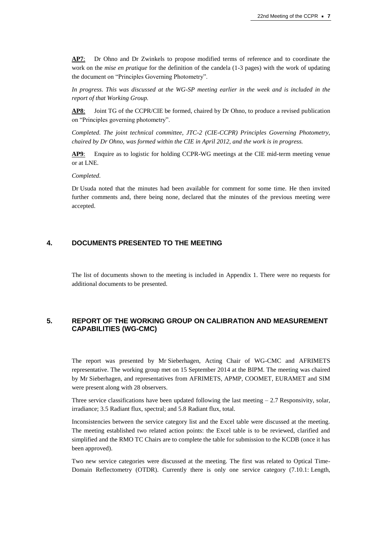**AP7**: Dr Ohno and Dr Zwinkels to propose modified terms of reference and to coordinate the work on the *mise en pratique* for the definition of the candela (1-3 pages) with the work of updating the document on "Principles Governing Photometry".

*In progress. This was discussed at the WG-SP meeting earlier in the week and is included in the report of that Working Group.*

**AP8**: Joint TG of the CCPR/CIE be formed, chaired by Dr Ohno, to produce a revised publication on "Principles governing photometry".

*Completed. The joint technical committee, JTC-2 (CIE-CCPR) Principles Governing Photometry, chaired by Dr Ohno, was formed within the CIE in April 2012, and the work is in progress.*

**AP9**: Enquire as to logistic for holding CCPR-WG meetings at the CIE mid-term meeting venue or at LNE.

*Completed.*

Dr Usuda noted that the minutes had been available for comment for some time. He then invited further comments and, there being none, declared that the minutes of the previous meeting were accepted.

## **4. DOCUMENTS PRESENTED TO THE MEETING**

The list of documents shown to the meeting is included in Appendix 1. There were no requests for additional documents to be presented.

## **5. REPORT OF THE WORKING GROUP ON CALIBRATION AND MEASUREMENT CAPABILITIES (WG-CMC)**

The report was presented by Mr Sieberhagen, Acting Chair of WG-CMC and AFRIMETS representative. The working group met on 15 September 2014 at the BIPM. The meeting was chaired by Mr Sieberhagen, and representatives from AFRIMETS, APMP, COOMET, EURAMET and SIM were present along with 28 observers.

Three service classifications have been updated following the last meeting  $-2.7$  Responsivity, solar, irradiance; 3.5 Radiant flux, spectral; and 5.8 Radiant flux, total.

Inconsistencies between the service category list and the Excel table were discussed at the meeting. The meeting established two related action points: the Excel table is to be reviewed, clarified and simplified and the RMO TC Chairs are to complete the table for submission to the KCDB (once it has been approved).

Two new service categories were discussed at the meeting. The first was related to Optical Time-Domain Reflectometry (OTDR). Currently there is only one service category (7.10.1: Length,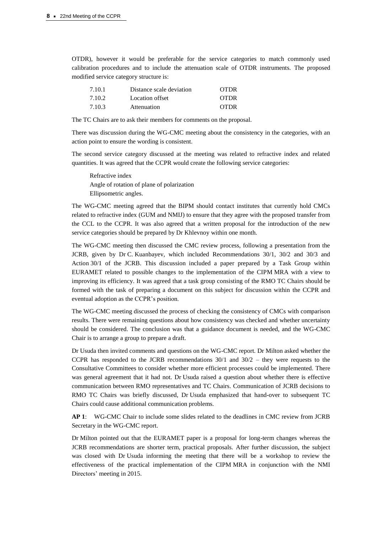OTDR), however it would be preferable for the service categories to match commonly used calibration procedures and to include the attenuation scale of OTDR instruments. The proposed modified service category structure is:

| 7.10.1 | Distance scale deviation | <b>OTDR</b> |
|--------|--------------------------|-------------|
| 7.10.2 | Location offset          | <b>OTDR</b> |
| 7.10.3 | Attenuation              | <b>OTDR</b> |

The TC Chairs are to ask their members for comments on the proposal.

There was discussion during the WG-CMC meeting about the consistency in the categories, with an action point to ensure the wording is consistent.

The second service category discussed at the meeting was related to refractive index and related quantities. It was agreed that the CCPR would create the following service categories:

Refractive index Angle of rotation of plane of polarization Ellipsometric angles.

The WG-CMC meeting agreed that the BIPM should contact institutes that currently hold CMCs related to refractive index (GUM and NMIJ) to ensure that they agree with the proposed transfer from the CCL to the CCPR. It was also agreed that a written proposal for the introduction of the new service categories should be prepared by Dr Khlevnoy within one month.

The WG-CMC meeting then discussed the CMC review process, following a presentation from the JCRB, given by Dr C. Kuanbayev, which included Recommendations 30/1, 30/2 and 30/3 and Action 30/1 of the JCRB. This discussion included a paper prepared by a Task Group within EURAMET related to possible changes to the implementation of the CIPM MRA with a view to improving its efficiency. It was agreed that a task group consisting of the RMO TC Chairs should be formed with the task of preparing a document on this subject for discussion within the CCPR and eventual adoption as the CCPR's position.

The WG-CMC meeting discussed the process of checking the consistency of CMCs with comparison results. There were remaining questions about how consistency was checked and whether uncertainty should be considered. The conclusion was that a guidance document is needed, and the WG-CMC Chair is to arrange a group to prepare a draft.

Dr Usuda then invited comments and questions on the WG-CMC report. Dr Milton asked whether the CCPR has responded to the JCRB recommendations  $30/1$  and  $30/2$  – they were requests to the Consultative Committees to consider whether more efficient processes could be implemented. There was general agreement that it had not. Dr Usuda raised a question about whether there is effective communication between RMO representatives and TC Chairs. Communication of JCRB decisions to RMO TC Chairs was briefly discussed, Dr Usuda emphasized that hand-over to subsequent TC Chairs could cause additional communication problems.

**AP 1**: WG-CMC Chair to include some slides related to the deadlines in CMC review from JCRB Secretary in the WG-CMC report.

Dr Milton pointed out that the EURAMET paper is a proposal for long-term changes whereas the JCRB recommendations are shorter term, practical proposals. After further discussion, the subject was closed with Dr Usuda informing the meeting that there will be a workshop to review the effectiveness of the practical implementation of the CIPM MRA in conjunction with the NMI Directors' meeting in 2015.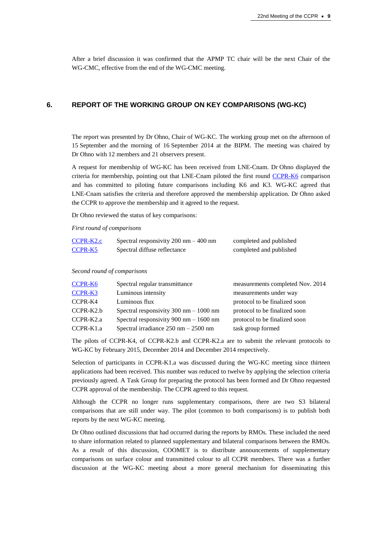After a brief discussion it was confirmed that the APMP TC chair will be the next Chair of the WG-CMC, effective from the end of the WG-CMC meeting.

### **6. REPORT OF THE WORKING GROUP ON KEY COMPARISONS (WG-KC)**

The report was presented by Dr Ohno, Chair of WG-KC. The working group met on the afternoon of 15 September and the morning of 16 September 2014 at the BIPM. The meeting was chaired by Dr Ohno with 12 members and 21 observers present.

A request for membership of WG-KC has been received from LNE-Cnam. Dr Ohno displayed the criteria for membership, pointing out that LNE-Cnam piloted the first round [CCPR-K6](http://kcdb.bipm.org/appendixB/KCDB_ApB_info.asp?cmp_idy=492&cmp_cod=CCPR-K6&prov=exalead) comparison and has committed to piloting future comparisons including K6 and K3. WG-KC agreed that LNE-Cnam satisfies the criteria and therefore approved the membership application. Dr Ohno asked the CCPR to approve the membership and it agreed to the request.

Dr Ohno reviewed the status of key comparisons:

*First round of comparisons*

| CCPR-K2.c | Spectral responsivity $200 \text{ nm} - 400 \text{ nm}$ | completed and published |
|-----------|---------------------------------------------------------|-------------------------|
| CCPR-K5   | Spectral diffuse reflectance                            | completed and published |

#### *Second round of comparisons*

| CCPR-K <sub>6</sub> | Spectral regular transmittance                           | measurements completed Nov. 2014 |
|---------------------|----------------------------------------------------------|----------------------------------|
| CCPR-K3             | Luminous intensity                                       | measurements under way           |
| CCPR-K4             | Luminous flux                                            | protocol to be finalized soon    |
| CCPR-K2.b           | Spectral responsivity $300 \text{ nm} - 1000 \text{ nm}$ | protocol to be finalized soon    |
| CCPR-K2.a           | Spectral responsivity 900 nm $- 1600$ nm                 | protocol to be finalized soon    |
| CCPR-K1.a           | Spectral irradiance $250 \text{ nm} - 2500 \text{ nm}$   | task group formed                |

The pilots of CCPR-K4, of CCPR-K2.b and CCPR-K2.a are to submit the relevant protocols to WG-KC by February 2015, December 2014 and December 2014 respectively.

Selection of participants in CCPR-K1.a was discussed during the WG-KC meeting since thirteen applications had been received. This number was reduced to twelve by applying the selection criteria previously agreed. A Task Group for preparing the protocol has been formed and Dr Ohno requested CCPR approval of the membership. The CCPR agreed to this request.

Although the CCPR no longer runs supplementary comparisons, there are two S3 bilateral comparisons that are still under way. The pilot (common to both comparisons) is to publish both reports by the next WG-KC meeting.

Dr Ohno outlined discussions that had occurred during the reports by RMOs. These included the need to share information related to planned supplementary and bilateral comparisons between the RMOs. As a result of this discussion, COOMET is to distribute announcements of supplementary comparisons on surface colour and transmitted colour to all CCPR members. There was a further discussion at the WG-KC meeting about a more general mechanism for disseminating this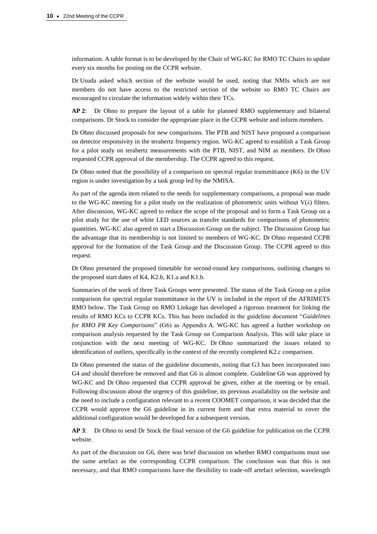information. A table format is to be developed by the Chair of WG-KC for RMO TC Chairs to update every six months for posting on the CCPR website.

Dr Usuda asked which section of the website would be used, noting that NMIs which are not members do not have access to the restricted section of the website so RMO TC Chairs are encouraged to circulate the information widely within their TCs.

**AP 2**: Dr Ohno to prepare the layout of a table for planned RMO supplementary and bilateral comparisons. Dr Stock to consider the appropriate place in the CCPR website and inform members.

Dr Ohno discussed proposals for new comparisons. The PTB and NIST have proposed a comparison on detector responsivity in the terahertz frequency region. WG-KC agreed to establish a Task Group for a pilot study on terahertz measurements with the PTB, NIST, and NIM as members. Dr Ohno requested CCPR approval of the membership. The CCPR agreed to this request.

Dr Ohno noted that the possibility of a comparison on spectral regular transmittance (K6) in the UV region is under investigation by a task group led by the NMISA.

As part of the agenda item related to the needs for supplementary comparisons, a proposal was made to the WG-KC meeting for a pilot study on the realization of photometric units without  $V(\lambda)$  filters. After discussion, WG-KC agreed to reduce the scope of the proposal and to form a Task Group on a pilot study for the use of white LED sources as transfer standards for comparisons of photometric quantities. WG-KC also agreed to start a Discussion Group on the subject. The Discussion Group has the advantage that its membership is not limited to members of WG-KC. Dr Ohno requested CCPR approval for the formation of the Task Group and the Discussion Group. The CCPR agreed to this request.

Dr Ohno presented the proposed timetable for second-round key comparisons, outlining changes to the proposed start dates of K4, K2.b, K1.a and K1.b.

Summaries of the work of three Task Groups were presented. The status of the Task Group on a pilot comparison for spectral regular transmittance in the UV is included in the report of the AFRIMETS RMO below. The Task Group on RMO Linkage has developed a rigorous treatment for linking the results of RMO KCs to CCPR KCs. This has been included in the guideline document "*Guidelines for RMO PR Key Comparisons*" (G6) as Appendix A. WG-KC has agreed a further workshop on comparison analysis requested by the Task Group on Comparison Analysis. This will take place in conjunction with the next meeting of WG-KC. Dr Ohno summarized the issues related to identification of outliers, specifically in the context of the recently completed K2.c comparison.

Dr Ohno presented the status of the guideline documents, noting that G3 has been incorporated into G4 and should therefore be removed and that G6 is almost complete. Guideline G6 was approved by WG-KC and Dr Ohno requested that CCPR approval be given, either at the meeting or by email. Following discussion about the urgency of this guideline, its previous availability on the website and the need to include a configuration relevant to a recent COOMET comparison, it was decided that the CCPR would approve the G6 guideline in its current form and that extra material to cover the additional configuration would be developed for a subsequent version.

<span id="page-9-0"></span>**AP 3**: Dr Ohno to send Dr Stock the final version of the G6 guideline for publication on the CCPR website.

As part of the discussion on G6, there was brief discussion on whether RMO comparisons must use the same artefact as the corresponding CCPR comparison. The conclusion was that this is not necessary, and that RMO comparisons have the flexibility to trade-off artefact selection, wavelength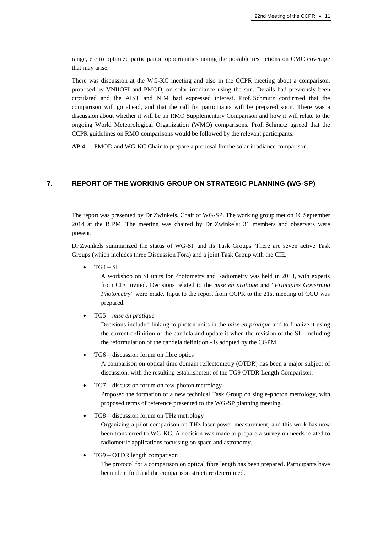range, etc to optimize participation opportunities noting the possible restrictions on CMC coverage that may arise.

There was discussion at the WG-KC meeting and also in the CCPR meeting about a comparison, proposed by VNIIOFI and PMOD, on solar irradiance using the sun. Details had previously been circulated and the AIST and NIM had expressed interest. Prof. Schmutz confirmed that the comparison will go ahead, and that the call for participants will be prepared soon. There was a discussion about whether it will be an RMO Supplementary Comparison and how it will relate to the ongoing World Meteorological Organization (WMO) comparisons. Prof. Schmutz agreed that the CCPR guidelines on RMO comparisons would be followed by the relevant participants.

<span id="page-10-0"></span>**AP 4**: PMOD and WG-KC Chair to prepare a proposal for the solar irradiance comparison.

## **7. REPORT OF THE WORKING GROUP ON STRATEGIC PLANNING (WG-SP)**

The report was presented by Dr Zwinkels, Chair of WG-SP. The working group met on 16 September 2014 at the BIPM. The meeting was chaired by Dr Zwinkels; 31 members and observers were present.

Dr Zwinkels summarized the status of WG-SP and its Task Groups. There are seven active Task Groups (which includes three Discussion Fora) and a joint Task Group with the CIE.

 $TG4-SI$ 

A workshop on SI units for Photometry and Radiometry was held in 2013, with experts from CIE invited. Decisions related to the *mise en pratique* and "*Principles Governing Photometry*" were made. Input to the report from CCPR to the 21st meeting of CCU was prepared.

TG5 – *mise en pratique*

Decisions included linking to photon units in the *mise en pratique* and to finalize it using the current definition of the candela and update it when the revision of the SI - including the reformulation of the candela definition - is adopted by the CGPM.

- TG6 discussion forum on fibre optics A comparison on optical time domain reflectometry (OTDR) has been a major subject of discussion, with the resulting establishment of the TG9 OTDR Length Comparison.
- TG7 discussion forum on few-photon metrology Proposed the formation of a new technical Task Group on single-photon metrology, with proposed terms of reference presented to the WG-SP planning meeting.
- TG8 discussion forum on THz metrology

Organizing a pilot comparison on THz laser power measurement, and this work has now been transferred to WG-KC. A decision was made to prepare a survey on needs related to radiometric applications focussing on space and astronomy.

TG9 – OTDR length comparison

The protocol for a comparison on optical fibre length has been prepared. Participants have been identified and the comparison structure determined.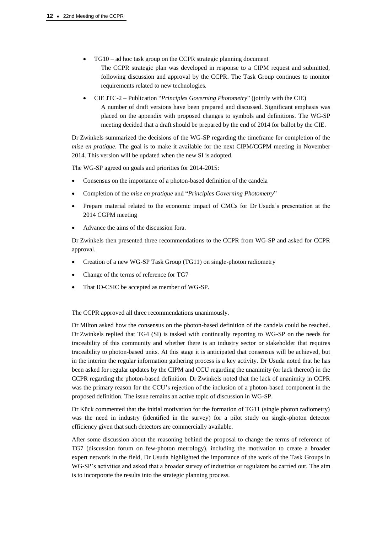- TG10 ad hoc task group on the CCPR strategic planning document The CCPR strategic plan was developed in response to a CIPM request and submitted, following discussion and approval by the CCPR. The Task Group continues to monitor requirements related to new technologies.
- CIE JTC-2 Publication "*Principles Governing Photometry*" (jointly with the CIE) A number of draft versions have been prepared and discussed. Significant emphasis was placed on the appendix with proposed changes to symbols and definitions. The WG-SP meeting decided that a draft should be prepared by the end of 2014 for ballot by the CIE.

Dr Zwinkels summarized the decisions of the WG-SP regarding the timeframe for completion of the *mise en pratique*. The goal is to make it available for the next CIPM/CGPM meeting in November 2014. This version will be updated when the new SI is adopted.

The WG-SP agreed on goals and priorities for 2014-2015:

- Consensus on the importance of a photon-based definition of the candela
- Completion of the *mise en pratique* and "*Principles Governing Photometry*"
- Prepare material related to the economic impact of CMCs for Dr Usuda's presentation at the 2014 CGPM meeting
- Advance the aims of the discussion fora.

Dr Zwinkels then presented three recommendations to the CCPR from WG-SP and asked for CCPR approval.

- Creation of a new WG-SP Task Group (TG11) on single-photon radiometry
- Change of the terms of reference for TG7
- That IO-CSIC be accepted as member of WG-SP.

The CCPR approved all three recommendations unanimously.

Dr Milton asked how the consensus on the photon-based definition of the candela could be reached. Dr Zwinkels replied that TG4 (SI) is tasked with continually reporting to WG-SP on the needs for traceability of this community and whether there is an industry sector or stakeholder that requires traceability to photon-based units. At this stage it is anticipated that consensus will be achieved, but in the interim the regular information gathering process is a key activity. Dr Usuda noted that he has been asked for regular updates by the CIPM and CCU regarding the unanimity (or lack thereof) in the CCPR regarding the photon-based definition. Dr Zwinkels noted that the lack of unanimity in CCPR was the primary reason for the CCU's rejection of the inclusion of a photon-based component in the proposed definition. The issue remains an active topic of discussion in WG-SP.

Dr Kück commented that the initial motivation for the formation of TG11 (single photon radiometry) was the need in industry (identified in the survey) for a pilot study on single-photon detector efficiency given that such detectors are commercially available.

After some discussion about the reasoning behind the proposal to change the terms of reference of TG7 (discussion forum on few-photon metrology), including the motivation to create a broader expert network in the field, Dr Usuda highlighted the importance of the work of the Task Groups in WG-SP's activities and asked that a broader survey of industries or regulators be carried out. The aim is to incorporate the results into the strategic planning process.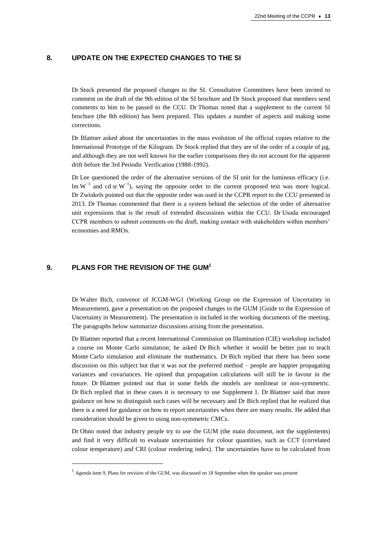## **8. UPDATE ON THE EXPECTED CHANGES TO THE SI**

Dr Stock presented the proposed changes to the SI. Consultative Committees have been invited to comment on the draft of the 9th edition of the SI brochure and Dr Stock proposed that members send comments to him to be passed to the CCU. Dr Thomas noted that a supplement to the current SI brochure (the 8th edition) has been prepared. This updates a number of aspects and making some corrections.

Dr Blattner asked about the uncertainties in the mass evolution of the official copies relative to the International Prototype of the Kilogram. Dr Stock replied that they are of the order of a couple of µg, and although they are not well known for the earlier comparisons they do not account for the apparent drift before the 3rd Periodic Verification (1988-1992).

Dr Lee questioned the order of the alternative versions of the SI unit for the luminous efficacy (i.e.  $\text{Im } W^{-1}$  and cd sr W<sup>-1</sup>), saying the opposite order to the current proposed text was more logical. Dr Zwinkels pointed out that the opposite order was used in the CCPR report to the CCU presented in 2013. Dr Thomas commented that there is a system behind the selection of the order of alternative unit expressions that is the result of extended discussions within the CCU. Dr Usuda encouraged CCPR members to submit comments on the draft, making contact with stakeholders within members' economies and RMOs.

## **9. PLANS FOR THE REVISION OF THE GUM<sup>1</sup>**

 $\overline{a}$ 

Dr Walter Bich, convenor of JCGM-WG1 (Working Group on the Expression of Uncertainty in Measurement), gave a presentation on the proposed changes to the GUM (Guide to the Expression of Uncertainty in Measurement). The presentation is included in the working documents of the meeting. The paragraphs below summarize discussions arising from the presentation.

Dr Blattner reported that a recent International Commission on Illumination (CIE) workshop included a course on Monte Carlo simulation; he asked Dr Bich whether it would be better just to teach Monte Carlo simulation and eliminate the mathematics. Dr Bich replied that there has been some discussion on this subject but that it was not the preferred method – people are happier propagating variances and covariances. He opined that propagation calculations will still be in favour in the future. Dr Blattner pointed out that in some fields the models are nonlinear or non-symmetric. Dr Bich replied that in these cases it is necessary to use Supplement 1. Dr Blattner said that more guidance on how to distinguish such cases will be necessary and Dr Bich replied that he realized that there is a need for guidance on how to report uncertainties when there are many results. He added that consideration should be given to using non-symmetric CMCs.

Dr Ohno noted that industry people try to use the GUM (the main document, not the supplements) and find it very difficult to evaluate uncertainties for colour quantities, such as CCT (correlated colour temperature) and CRI (colour rendering index). The uncertainties have to be calculated from

 $<sup>1</sup>$  Agenda item 9, Plans for revision of the GUM, was discussed on 18 September when the speaker was present</sup>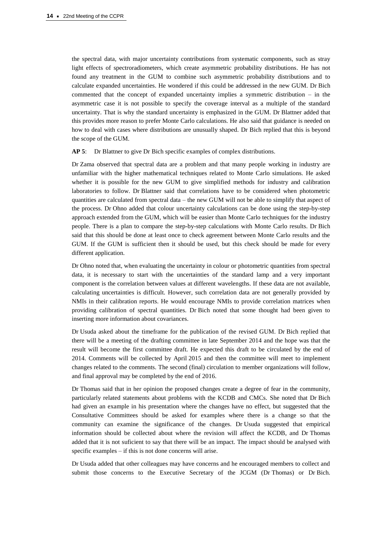the spectral data, with major uncertainty contributions from systematic components, such as stray light effects of spectroradiometers, which create asymmetric probability distributions. He has not found any treatment in the GUM to combine such asymmetric probability distributions and to calculate expanded uncertainties. He wondered if this could be addressed in the new GUM. Dr Bich commented that the concept of expanded uncertainty implies a symmetric distribution – in the asymmetric case it is not possible to specify the coverage interval as a multiple of the standard uncertainty. That is why the standard uncertainty is emphasized in the GUM. Dr Blattner added that this provides more reason to prefer Monte Carlo calculations. He also said that guidance is needed on how to deal with cases where distributions are unusually shaped. Dr Bich replied that this is beyond the scope of the GUM.

**AP 5**: Dr Blattner to give Dr Bich specific examples of complex distributions.

Dr Zama observed that spectral data are a problem and that many people working in industry are unfamiliar with the higher mathematical techniques related to Monte Carlo simulations. He asked whether it is possible for the new GUM to give simplified methods for industry and calibration laboratories to follow. Dr Blattner said that correlations have to be considered when photometric quantities are calculated from spectral data – the new GUM will not be able to simplify that aspect of the process. Dr Ohno added that colour uncertainty calculations can be done using the step-by-step approach extended from the GUM, which will be easier than Monte Carlo techniques for the industry people. There is a plan to compare the step-by-step calculations with Monte Carlo results. Dr Bich said that this should be done at least once to check agreement between Monte Carlo results and the GUM. If the GUM is sufficient then it should be used, but this check should be made for every different application.

Dr Ohno noted that, when evaluating the uncertainty in colour or photometric quantities from spectral data, it is necessary to start with the uncertainties of the standard lamp and a very important component is the correlation between values at different wavelengths. If these data are not available, calculating uncertainties is difficult. However, such correlation data are not generally provided by NMIs in their calibration reports. He would encourage NMIs to provide correlation matrices when providing calibration of spectral quantities. Dr Bich noted that some thought had been given to inserting more information about covariances.

Dr Usuda asked about the timeframe for the publication of the revised GUM. Dr Bich replied that there will be a meeting of the drafting committee in late September 2014 and the hope was that the result will become the first committee draft. He expected this draft to be circulated by the end of 2014. Comments will be collected by April 2015 and then the committee will meet to implement changes related to the comments. The second (final) circulation to member organizations will follow, and final approval may be completed by the end of 2016.

Dr Thomas said that in her opinion the proposed changes create a degree of fear in the community, particularly related statements about problems with the KCDB and CMCs. She noted that Dr Bich had given an example in his presentation where the changes have no effect, but suggested that the Consultative Committees should be asked for examples where there is a change so that the community can examine the significance of the changes. Dr Usuda suggested that empirical information should be collected about where the revision will affect the KCDB, and Dr Thomas added that it is not suficient to say that there will be an impact. The impact should be analysed with specific examples – if this is not done concerns will arise.

Dr Usuda added that other colleagues may have concerns and he encouraged members to collect and submit those concerns to the Executive Secretary of the JCGM (Dr Thomas) or Dr Bich.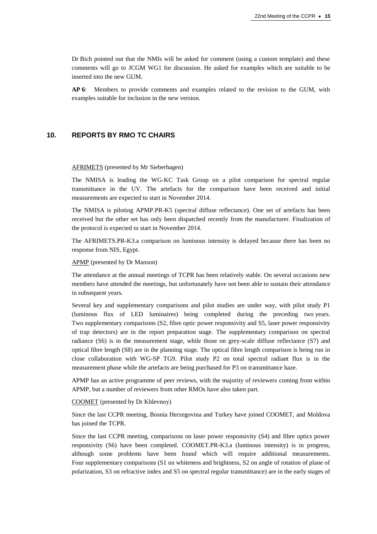Dr Bich pointed out that the NMIs will be asked for comment (using a custom template) and these comments will go to JCGM WG1 for discussion. He asked for examples which are suitable to be inserted into the new GUM.

**AP 6**: Members to provide comments and examples related to the revision to the GUM, with examples suitable for inclusion in the new version.

## **10. REPORTS BY RMO TC CHAIRS**

#### AFRIMETS (presented by Mr Sieberhagen)

The NMISA is leading the WG-KC Task Group on a pilot comparison for spectral regular transmittance in the UV. The artefacts for the comparison have been received and initial measurements are expected to start in November 2014.

The NMISA is piloting APMP.PR-K5 (spectral diffuse reflectance). One set of artefacts has been received but the other set has only been dispatched recently from the manufacturer. Finalization of the protocol is expected to start in November 2014.

The AFRIMETS.PR-K3.a comparison on luminous intensity is delayed because there has been no response from NIS, Egypt.

APMP (presented by Dr Manson)

The attendance at the annual meetings of TCPR has been relatively stable. On several occasions new members have attended the meetings, but unfortunately have not been able to sustain their attendance in subsequent years.

Several key and supplementary comparisons and pilot studies are under way, with pilot study P1 (luminous flux of LED luminaires) being completed during the preceding two years. Two supplementary comparisons (S2, fibre optic power responsivity and S5, laser power responsivity of trap detectors) are in the report preparation stage. The supplementary comparison on spectral radiance (S6) is in the measurement stage, while those on grey-scale diffuse reflectance (S7) and optical fibre length (S8) are in the planning stage. The optical fibre length comparison is being run in close collaboration with WG-SP TG9. Pilot study P2 on total spectral radiant flux is in the measurement phase while the artefacts are being purchased for P3 on transmittance haze.

APMP has an active programme of peer reviews, with the majority of reviewers coming from within APMP, but a number of reviewers from other RMOs have also taken part.

COOMET (presented by Dr Khlevnoy)

Since the last CCPR meeting, Bosnia Herzegovina and Turkey have joined COOMET, and Moldova has joined the TCPR.

Since the last CCPR meeting, comparisons on laser power responsivity (S4) and fibre optics power responsivity (S6) have been completed. COOMET.PR-K3.a (luminous intensity) is in progress, although some problems have been found which will require additional measurements. Four supplementary comparisons (S1 on whiteness and brightness, S2 on angle of rotation of plane of polarization, S3 on refractive index and S5 on spectral regular transmittance) are in the early stages of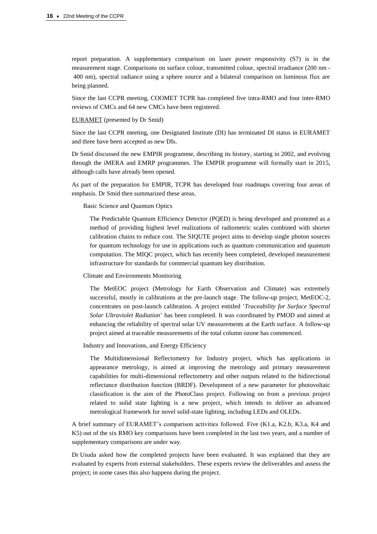report preparation. A supplementary comparison on laser power responsivity (S7) is in the measurement stage. Comparisons on surface colour, transmitted colour, spectral irradiance (200 nm - 400 nm), spectral radiance using a sphere source and a bilateral comparison on luminous flux are being planned.

Since the last CCPR meeting, COOMET TCPR has completed five intra-RMO and four inter-RMO reviews of CMCs and 64 new CMCs have been registered.

#### EURAMET (presented by Dr Smid)

Since the last CCPR meeting, one Designated Institute (DI) has terminated DI status in EURAMET and three have been accepted as new DIs.

Dr Smid discussed the new EMPIR programme, describing its history, starting in 2002, and evolving through the iMERA and EMRP programmes. The EMPIR programme will formally start in 2015, although calls have already been opened.

As part of the preparation for EMPIR, TCPR has developed four roadmaps covering four areas of emphasis. Dr Smid then summarized these areas.

#### Basic Science and Quantum Optics

The Predictable Quantum Efficiency Detector (PQED) is being developed and promoted as a method of providing highest level realizations of radiometric scales combined with shorter calibration chains to reduce cost. The SIQUTE project aims to develop single photon sources for quantum technology for use in applications such as quantum communication and quantum computation. The MIQC project, which has recently been completed, developed measurement infrastructure for standards for commercial quantum key distribution.

Climate and Environments Monitoring

The MetEOC project (Metrology for Earth Observation and Climate) was extremely successful, mostly in calibrations at the pre-launch stage. The follow-up project, MetEOC-2, concentrates on post-launch calibration. A project entitled '*Traceability for Surface Spectral Solar Ultraviolet Radiation*' has been completed. It was coordinated by PMOD and aimed at enhancing the reliability of spectral solar UV measurements at the Earth surface. A follow-up project aimed at traceable measurements of the total column ozone has commenced.

Industry and Innovations, and Energy Efficiency

The Multidimensional Reflectometry for Industry project, which has applications in appearance metrology, is aimed at improving the metrology and primary measurement capabilities for multi-dimensional reflectometry and other outputs related to the bidirectional reflectance distribution function (BRDF). Development of a new parameter for photovoltaic classification is the aim of the PhotoClass project. Following on from a previous project related to solid state lighting is a new project, which intends to deliver an advanced metrological framework for novel solid-state lighting, including LEDs and OLEDs.

A brief summary of EURAMET's comparison activities followed. Five (K1.a, K2.b, K3.a, K4 and K5) out of the six RMO key comparisons have been completed in the last two years, and a number of supplementary comparisons are under way.

Dr Usuda asked how the completed projects have been evaluated. It was explained that they are evaluated by experts from external stakeholders. These experts review the deliverables and assess the project; in some cases this also happens during the project.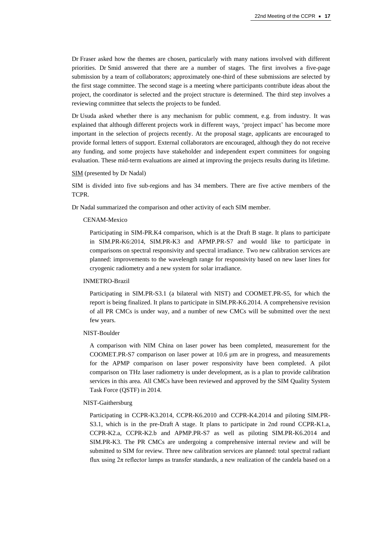Dr Fraser asked how the themes are chosen, particularly with many nations involved with different priorities. Dr Smid answered that there are a number of stages. The first involves a five-page submission by a team of collaborators; approximately one-third of these submissions are selected by the first stage committee. The second stage is a meeting where participants contribute ideas about the project, the coordinator is selected and the project structure is determined. The third step involves a reviewing committee that selects the projects to be funded.

Dr Usuda asked whether there is any mechanism for public comment, e.g. from industry. It was explained that although different projects work in different ways, 'project impact' has become more important in the selection of projects recently. At the proposal stage, applicants are encouraged to provide formal letters of support. External collaborators are encouraged, although they do not receive any funding, and some projects have stakeholder and independent expert committees for ongoing evaluation. These mid-term evaluations are aimed at improving the projects results during its lifetime.

#### SIM (presented by Dr Nadal)

SIM is divided into five sub-regions and has 34 members. There are five active members of the TCPR.

Dr Nadal summarized the comparison and other activity of each SIM member.

#### CENAM-Mexico

Participating in SIM-PR.K4 comparison, which is at the Draft B stage. It plans to participate in SIM.PR-K6:2014, SIM.PR-K3 and APMP.PR-S7 and would like to participate in comparisons on spectral responsivity and spectral irradiance. Two new calibration services are planned: improvements to the wavelength range for responsivity based on new laser lines for cryogenic radiometry and a new system for solar irradiance.

#### INMETRO-Brazil

Participating in SIM.PR-S3.1 (a bilateral with NIST) and COOMET.PR-S5, for which the report is being finalized. It plans to participate in SIM.PR-K6.2014. A comprehensive revision of all PR CMCs is under way, and a number of new CMCs will be submitted over the next few years.

#### NIST-Boulder

A comparison with NIM China on laser power has been completed, measurement for the COOMET.PR-S7 comparison on laser power at  $10.6 \mu m$  are in progress, and measurements for the APMP comparison on laser power responsivity have been completed. A pilot comparison on THz laser radiometry is under development, as is a plan to provide calibration services in this area. All CMCs have been reviewed and approved by the SIM Quality System Task Force (QSTF) in 2014.

#### NIST-Gaithersburg

Participating in CCPR-K3.2014, CCPR-K6.2010 and CCPR-K4.2014 and piloting SIM.PR-S3.1, which is in the pre-Draft A stage. It plans to participate in 2nd round CCPR-K1.a, CCPR-K2.a, CCPR-K2.b and APMP.PR-S7 as well as piloting SIM.PR-K6.2014 and SIM.PR-K3. The PR CMCs are undergoing a comprehensive internal review and will be submitted to SIM for review. Three new calibration services are planned: total spectral radiant flux using  $2\pi$  reflector lamps as transfer standards, a new realization of the candela based on a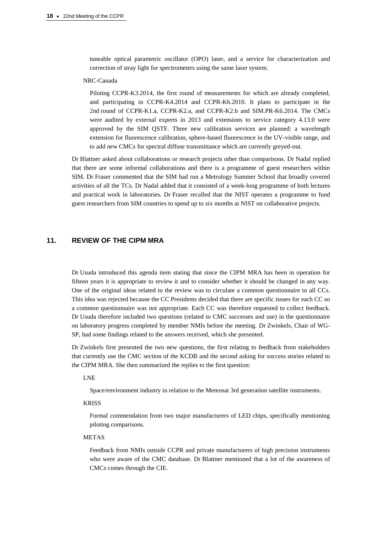tuneable optical parametric oscillator (OPO) laser, and a service for characterization and correction of stray light for spectrometers using the same laser system.

#### NRC-Canada

Piloting CCPR-K3.2014, the first round of measurements for which are already completed, and participating in CCPR-K4.2014 and CCPR-K6.2010. It plans to participate in the 2nd round of CCPR-K1.a, CCPR-K2.a, and CCPR-K2.b and SIM.PR-K6.2014. The CMCs were audited by external experts in 2013 and extensions to service category 4.13.0 were approved by the SIM QSTF. Three new calibration services are planned: a wavelength extension for fluorescence calibration, sphere-based fluorescence in the UV-visible range, and to add new CMCs for spectral diffuse transmittance which are currently greyed-out.

Dr Blattner asked about collaborations or research projects other than comparisons. Dr Nadal replied that there are some informal collaborations and there is a programme of guest researchers within SIM. Dr Fraser commented that the SIM had run a Metrology Summer School that broadly covered activities of all the TCs. Dr Nadal added that it consisted of a week-long programme of both lectures and practical work in laboratories. Dr Fraser recalled that the NIST operates a programme to fund guest researchers from SIM countries to spend up to six months at NIST on collaborative projects.

## **11. REVIEW OF THE CIPM MRA**

Dr Usuda introduced this agenda item stating that since the CIPM MRA has been in operation for fifteen years it is appropriate to review it and to consider whether it should be changed in any way. One of the original ideas related to the review was to circulate a common questionnaire to all CCs. This idea was rejected because the CC Presidents decided that there are specific issues for each CC so a common questionnaire was not appropriate. Each CC was therefore requested to collect feedback. Dr Usuda therefore included two questions (related to CMC successes and use) in the questionnaire on laboratory progress completed by member NMIs before the meeting. Dr Zwinkels, Chair of WG-SP, had some findings related to the answers received, which she presented.

Dr Zwinkels first presented the two new questions, the first relating to feedback from stakeholders that currently use the CMC section of the KCDB and the second asking for success stories related to the CIPM MRA. She then summarized the replies to the first question:

#### LNE

Space/environment industry in relation to the Meteosat 3rd generation satellite instruments.

#### **KRISS**

Formal commendation from two major manufacturers of LED chips, specifically mentioning piloting comparisons.

#### METAS

Feedback from NMIs outside CCPR and private manufacturers of high precision instruments who were aware of the CMC database. Dr Blattner mentioned that a lot of the awareness of CMCs comes through the CIE.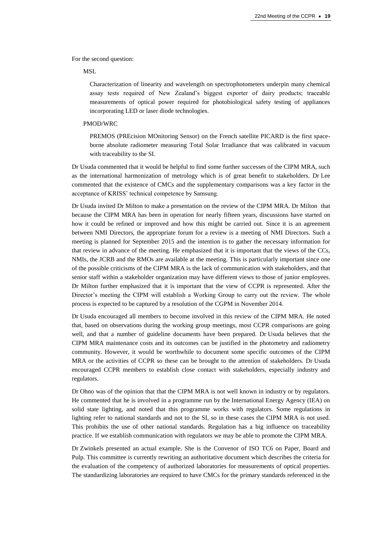For the second question:

MSL

Characterization of linearity and wavelength on spectrophotometers underpin many chemical assay tests required of New Zealand's biggest exporter of dairy products; traceable measurements of optical power required for photobiological safety testing of appliances incorporating LED or laser diode technologies.

#### PMOD/WRC

PREMOS (PREcision MOnitoring Sensor) on the French satellite PICARD is the first spaceborne absolute radiometer measuring Total Solar Irradiance that was calibrated in vacuum with traceability to the SI.

Dr Usuda commented that it would be helpful to find some further successes of the CIPM MRA, such as the international harmonization of metrology which is of great benefit to stakeholders. Dr Lee commented that the existence of CMCs and the supplementary comparisons was a key factor in the acceptance of KRISS' technical competence by Samsung.

Dr Usuda invited Dr Milton to make a presentation on the review of the CIPM MRA. Dr Milton that because the CIPM MRA has been in operation for nearly fifteen years, discussions have started on how it could be refined or improved and how this might be carried out. Since it is an agreement between NMI Directors, the appropriate forum for a review is a meeting of NMI Directors. Such a meeting is planned for September 2015 and the intention is to gather the necessary information for that review in advance of the meeting. He emphasized that it is important that the views of the CCs, NMIs, the JCRB and the RMOs are available at the meeting. This is particularly important since one of the possible criticisms of the CIPM MRA is the lack of communication with stakeholders, and that senior staff within a stakeholder organization may have different views to those of junior employees. Dr Milton further emphasized that it is important that the view of CCPR is represented. After the Director's meeting the CIPM will establish a Working Group to carry out the review. The whole process is expected to be captured by a resolution of the CGPM in November 2014.

Dr Usuda encouraged all members to become involved in this review of the CIPM MRA. He noted that, based on observations during the working group meetings, most CCPR comparisons are going well, and that a number of guideline documents have been prepared. Dr Usuda believes that the CIPM MRA maintenance costs and its outcomes can be justified in the photometry and radiometry community. However, it would be worthwhile to document some specific outcomes of the CIPM MRA or the activities of CCPR so these can be brought to the attention of stakeholders. Dr Usuda encouraged CCPR members to establish close contact with stakeholders, especially industry and regulators.

Dr Ohno was of the opinion that that the CIPM MRA is not well known in industry or by regulators. He commented that he is involved in a programme run by the International Energy Agency (IEA) on solid state lighting, and noted that this programme works with regulators. Some regulations in lighting refer to national standards and not to the SI, so in these cases the CIPM MRA is not used. This prohibits the use of other national standards. Regulation has a big influence on traceability practice. If we establish communication with regulators we may be able to promote the CIPM MRA.

Dr Zwinkels presented an actual example. She is the Convenor of ISO TC6 on Paper, Board and Pulp. This committee is currently rewriting an authoritative document which describes the criteria for the evaluation of the competency of authorized laboratories for measurements of optical properties. The standardizing laboratories are required to have CMCs for the primary standards referenced in the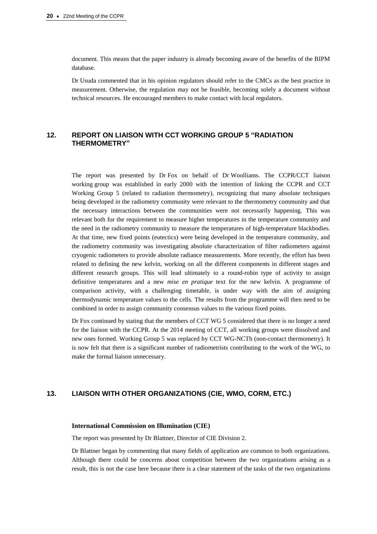document. This means that the paper industry is already becoming aware of the benefits of the BIPM database.

Dr Usuda commented that in his opinion regulators should refer to the CMCs as the best practice in measurement. Otherwise, the regulation may not be feasible, becoming solely a document without technical resources. He encouraged members to make contact with local regulators.

## **12. REPORT ON LIAISON WITH CCT WORKING GROUP 5 "RADIATION THERMOMETRY"**

The report was presented by Dr Fox on behalf of Dr Woolliams. The CCPR/CCT liaison working group was established in early 2000 with the intention of linking the CCPR and CCT Working Group 5 (related to radiation thermometry), recognizing that many absolute techniques being developed in the radiometry community were relevant to the thermometry community and that the necessary interactions between the communities were not necessarily happening. This was relevant both for the requirement to measure higher temperatures in the temperature community and the need in the radiometry community to measure the temperatures of high-temperature blackbodies. At that time, new fixed points (eutectics) were being developed in the temperature community, and the radiometry community was investigating absolute characterization of filter radiometers against cryogenic radiometers to provide absolute radiance measurements. More recently, the effort has been related to defining the new kelvin, working on all the different components in different stages and different research groups. This will lead ultimately to a round-robin type of activity to assign definitive temperatures and a new *mise en pratique* text for the new kelvin. A programme of comparison activity, with a challenging timetable, is under way with the aim of assigning thermodynamic temperature values to the cells. The results from the programme will then need to be combined in order to assign community consensus values to the various fixed points.

Dr Fox continued by stating that the members of CCT WG 5 considered that there is no longer a need for the liaison with the CCPR. At the 2014 meeting of CCT, all working groups were dissolved and new ones formed. Working Group 5 was replaced by CCT WG-NCTh (non-contact thermometry). It is now felt that there is a significant number of radiometrists contributing to the work of the WG, to make the formal liaison unnecessary.

## **13. LIAISON WITH OTHER ORGANIZATIONS (CIE, WMO, CORM, ETC.)**

#### **International Commission on Illumination (CIE)**

The report was presented by Dr Blattner, Director of CIE Division 2.

Dr Blattner began by commenting that many fields of application are common to both organizations. Although there could be concerns about competition between the two organizations arising as a result, this is not the case here because there is a clear statement of the tasks of the two organizations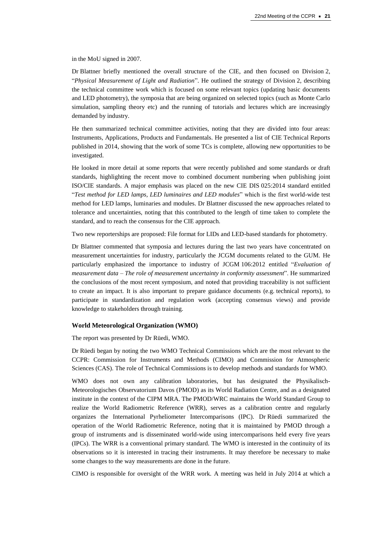in the MoU signed in 2007.

Dr Blattner briefly mentioned the overall structure of the CIE, and then focused on Division 2, "*Physical Measurement of Light and Radiation*". He outlined the strategy of Division 2, describing the technical committee work which is focused on some relevant topics (updating basic documents and LED photometry), the symposia that are being organized on selected topics (such as Monte Carlo simulation, sampling theory etc) and the running of tutorials and lectures which are increasingly demanded by industry.

He then summarized technical committee activities, noting that they are divided into four areas: Instruments, Applications, Products and Fundamentals. He presented a list of CIE Technical Reports published in 2014, showing that the work of some TCs is complete, allowing new opportunities to be investigated.

He looked in more detail at some reports that were recently published and some standards or draft standards, highlighting the recent move to combined document numbering when publishing joint ISO/CIE standards. A major emphasis was placed on the new CIE DIS 025:2014 standard entitled "*Test method for LED lamps, LED luminaires and LED modules*" which is the first world-wide test method for LED lamps, luminaries and modules. Dr Blattner discussed the new approaches related to tolerance and uncertainties, noting that this contributed to the length of time taken to complete the standard, and to reach the consensus for the CIE approach.

Two new reporterships are proposed: File format for LIDs and LED-based standards for photometry.

Dr Blattner commented that symposia and lectures during the last two years have concentrated on measurement uncertainties for industry, particularly the JCGM documents related to the GUM. He particularly emphasized the importance to industry of JCGM 106:2012 entitled "*Evaluation of measurement data – The role of measurement uncertainty in conformity assessment*". He summarized the conclusions of the most recent symposium, and noted that providing traceability is not sufficient to create an impact. It is also important to prepare guidance documents (e.g. technical reports), to participate in standardization and regulation work (accepting consensus views) and provide knowledge to stakeholders through training.

#### **World Meteorological Organization (WMO)**

The report was presented by Dr Rüedi, WMO.

Dr Rüedi began by noting the two WMO Technical Commissions which are the most relevant to the CCPR: Commission for Instruments and Methods (CIMO) and Commission for Atmospheric Sciences (CAS). The role of Technical Commissions is to develop methods and standards for WMO.

WMO does not own any calibration laboratories, but has designated the Physikalisch-Meteorologisches Observatorium Davos (PMOD) as its World Radiation Centre, and as a designated institute in the context of the CIPM MRA. The PMOD/WRC maintains the World Standard Group to realize the World Radiometric Reference (WRR), serves as a calibration centre and regularly organizes the International Pyrheliometer Intercomparisons (IPC). Dr Rüedi summarized the operation of the World Radiometric Reference, noting that it is maintained by PMOD through a group of instruments and is disseminated world-wide using intercomparisons held every five years (IPCs). The WRR is a conventional primary standard. The WMO is interested in the continuity of its observations so it is interested in tracing their instruments. It may therefore be necessary to make some changes to the way measurements are done in the future.

CIMO is responsible for oversight of the WRR work. A meeting was held in July 2014 at which a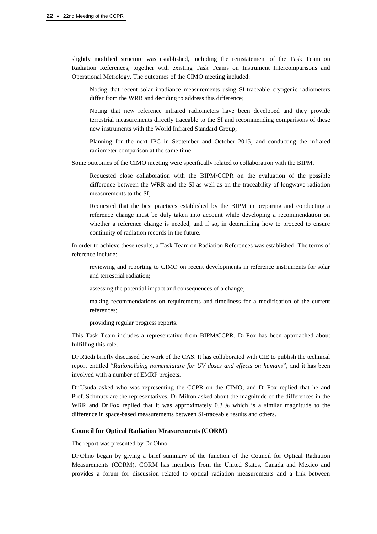slightly modified structure was established, including the reinstatement of the Task Team on Radiation References, together with existing Task Teams on Instrument Intercomparisons and Operational Metrology. The outcomes of the CIMO meeting included:

Noting that recent solar irradiance measurements using SI-traceable cryogenic radiometers differ from the WRR and deciding to address this difference;

Noting that new reference infrared radiometers have been developed and they provide terrestrial measurements directly traceable to the SI and recommending comparisons of these new instruments with the World Infrared Standard Group;

Planning for the next IPC in September and October 2015, and conducting the infrared radiometer comparison at the same time.

Some outcomes of the CIMO meeting were specifically related to collaboration with the BIPM.

Requested close collaboration with the BIPM/CCPR on the evaluation of the possible difference between the WRR and the SI as well as on the traceability of longwave radiation measurements to the SI;

Requested that the best practices established by the BIPM in preparing and conducting a reference change must be duly taken into account while developing a recommendation on whether a reference change is needed, and if so, in determining how to proceed to ensure continuity of radiation records in the future.

In order to achieve these results, a Task Team on Radiation References was established. The terms of reference include:

reviewing and reporting to CIMO on recent developments in reference instruments for solar and terrestrial radiation;

assessing the potential impact and consequences of a change;

making recommendations on requirements and timeliness for a modification of the current references;

providing regular progress reports.

This Task Team includes a representative from BIPM/CCPR. Dr Fox has been approached about fulfilling this role.

Dr Rüedi briefly discussed the work of the CAS. It has collaborated with CIE to publish the technical report entitled "*Rationalizing nomenclature for UV doses and effects on humans*", and it has been involved with a number of EMRP projects.

Dr Usuda asked who was representing the CCPR on the CIMO, and Dr Fox replied that he and Prof. Schmutz are the representatives. Dr Milton asked about the magnitude of the differences in the WRR and Dr Fox replied that it was approximately 0.3 % which is a similar magnitude to the difference in space-based measurements between SI-traceable results and others.

#### **Council for Optical Radiation Measurements (CORM)**

The report was presented by Dr Ohno.

Dr Ohno began by giving a brief summary of the function of the Council for Optical Radiation Measurements (CORM). CORM has members from the United States, Canada and Mexico and provides a forum for discussion related to optical radiation measurements and a link between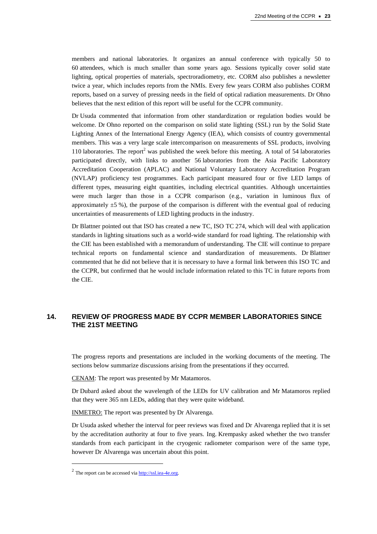members and national laboratories. It organizes an annual conference with typically 50 to 60 attendees, which is much smaller than some years ago. Sessions typically cover solid state lighting, optical properties of materials, spectroradiometry, etc. CORM also publishes a newsletter twice a year, which includes reports from the NMIs. Every few years CORM also publishes CORM reports, based on a survey of pressing needs in the field of optical radiation measurements. Dr Ohno believes that the next edition of this report will be useful for the CCPR community.

Dr Usuda commented that information from other standardization or regulation bodies would be welcome. Dr Ohno reported on the comparison on solid state lighting (SSL) run by the Solid State Lighting Annex of the International Energy Agency (IEA), which consists of country governmental members. This was a very large scale intercomparison on measurements of SSL products, involving 110 laboratories. The report<sup>2</sup> was published the week before this meeting. A total of 54 laboratories participated directly, with links to another 56 laboratories from the Asia Pacific Laboratory Accreditation Cooperation (APLAC) and National Voluntary Laboratory Accreditation Program (NVLAP) proficiency test programmes. Each participant measured four or five LED lamps of different types, measuring eight quantities, including electrical quantities. Although uncertainties were much larger than those in a CCPR comparison (e.g., variation in luminous flux of approximately  $\pm 5$  %), the purpose of the comparison is different with the eventual goal of reducing uncertainties of measurements of LED lighting products in the industry.

Dr Blattner pointed out that ISO has created a new TC, ISO TC 274, which will deal with application standards in lighting situations such as a world-wide standard for road lighting. The relationship with the CIE has been established with a memorandum of understanding. The CIE will continue to prepare technical reports on fundamental science and standardization of measurements. Dr Blattner commented that he did not believe that it is necessary to have a formal link between this ISO TC and the CCPR, but confirmed that he would include information related to this TC in future reports from the CIE.

## **14. REVIEW OF PROGRESS MADE BY CCPR MEMBER LABORATORIES SINCE THE 21ST MEETING**

The progress reports and presentations are included in the working documents of the meeting. The sections below summarize discussions arising from the presentations if they occurred.

CENAM: The report was presented by Mr Matamoros.

Dr Dubard asked about the wavelength of the LEDs for UV calibration and Mr Matamoros replied that they were 365 nm LEDs, adding that they were quite wideband.

INMETRO: The report was presented by Dr Alvarenga.

Dr Usuda asked whether the interval for peer reviews was fixed and Dr Alvarenga replied that it is set by the accreditation authority at four to five years. Ing. Krempasky asked whether the two transfer standards from each participant in the cryogenic radiometer comparison were of the same type, however Dr Alvarenga was uncertain about this point.

 $\overline{a}$ 

<sup>&</sup>lt;sup>2</sup> The report can be accessed via  $\frac{http://ssl.iea-4e.org.}{http://ssl.iea-4e.org.}$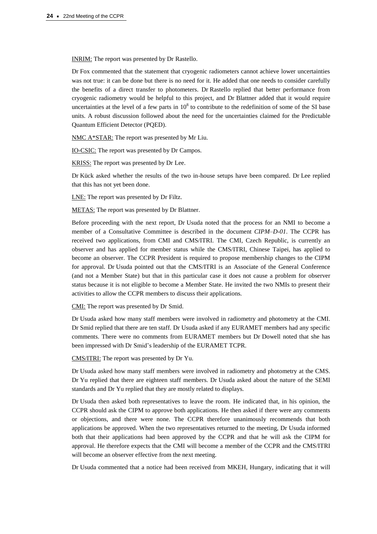INRIM: The report was presented by Dr Rastello.

Dr Fox commented that the statement that cryogenic radiometers cannot achieve lower uncertainties was not true: it can be done but there is no need for it. He added that one needs to consider carefully the benefits of a direct transfer to photometers. Dr Rastello replied that better performance from cryogenic radiometry would be helpful to this project, and Dr Blattner added that it would require uncertainties at the level of a few parts in  $10^8$  to contribute to the redefinition of some of the SI base units. A robust discussion followed about the need for the uncertainties claimed for the Predictable Quantum Efficient Detector (PQED).

NMC A\*STAR: The report was presented by Mr Liu.

IO-CSIC: The report was presented by Dr Campos.

KRISS: The report was presented by Dr Lee.

Dr Kück asked whether the results of the two in-house setups have been compared. Dr Lee replied that this has not yet been done.

LNE: The report was presented by Dr Filtz.

METAS: The report was presented by Dr Blattner.

Before proceeding with the next report, Dr Usuda noted that the process for an NMI to become a member of a Consultative Committee is described in the document *CIPM–D-01*. The CCPR has received two applications, from CMI and CMS/ITRI. The CMI, Czech Republic, is currently an observer and has applied for member status while the CMS/ITRI, Chinese Taipei, has applied to become an observer. The CCPR President is required to propose membership changes to the CIPM for approval. Dr Usuda pointed out that the CMS/ITRI is an Associate of the General Conference (and not a Member State) but that in this particular case it does not cause a problem for observer status because it is not eligible to become a Member State. He invited the two NMIs to present their activities to allow the CCPR members to discuss their applications.

CMI: The report was presented by Dr Smid.

Dr Usuda asked how many staff members were involved in radiometry and photometry at the CMI. Dr Smid replied that there are ten staff. Dr Usuda asked if any EURAMET members had any specific comments. There were no comments from EURAMET members but Dr Dowell noted that she has been impressed with Dr Smid's leadership of the EURAMET TCPR.

CMS/ITRI: The report was presented by Dr Yu.

Dr Usuda asked how many staff members were involved in radiometry and photometry at the CMS. Dr Yu replied that there are eighteen staff members. Dr Usuda asked about the nature of the SEMI standards and Dr Yu replied that they are mostly related to displays.

Dr Usuda then asked both representatives to leave the room. He indicated that, in his opinion, the CCPR should ask the CIPM to approve both applications. He then asked if there were any comments or objections, and there were none. The CCPR therefore unanimously recommends that both applications be approved. When the two representatives returned to the meeting, Dr Usuda informed both that their applications had been approved by the CCPR and that he will ask the CIPM for approval. He therefore expects that the CMI will become a member of the CCPR and the CMS/ITRI will become an observer effective from the next meeting.

Dr Usuda commented that a notice had been received from MKEH, Hungary, indicating that it will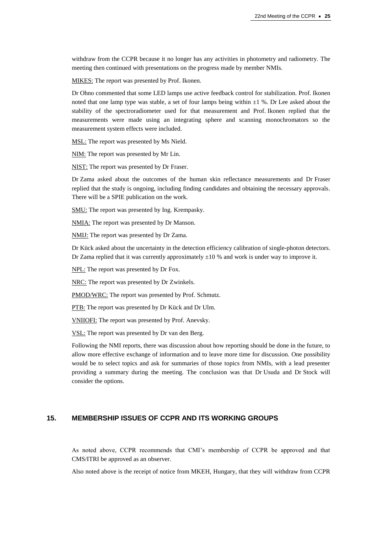withdraw from the CCPR because it no longer has any activities in photometry and radiometry. The meeting then continued with presentations on the progress made by member NMIs.

MIKES: The report was presented by Prof. Ikonen.

Dr Ohno commented that some LED lamps use active feedback control for stabilization. Prof. Ikonen noted that one lamp type was stable, a set of four lamps being within  $\pm 1$  %. Dr Lee asked about the stability of the spectroradiometer used for that measurement and Prof. Ikonen replied that the measurements were made using an integrating sphere and scanning monochromators so the measurement system effects were included.

MSL: The report was presented by Ms Nield.

NIM: The report was presented by Mr Lin.

NIST: The report was presented by Dr Fraser.

Dr Zama asked about the outcomes of the human skin reflectance measurements and Dr Fraser replied that the study is ongoing, including finding candidates and obtaining the necessary approvals. There will be a SPIE publication on the work.

SMU: The report was presented by Ing. Krempasky.

NMIA: The report was presented by Dr Manson.

NMIJ: The report was presented by Dr Zama.

Dr Kück asked about the uncertainty in the detection efficiency calibration of single-photon detectors. Dr Zama replied that it was currently approximately  $\pm 10$  % and work is under way to improve it.

NPL: The report was presented by Dr Fox.

NRC: The report was presented by Dr Zwinkels.

PMOD/WRC: The report was presented by Prof. Schmutz.

PTB: The report was presented by Dr Kück and Dr Ulm.

VNIIOFI: The report was presented by Prof. Anevsky.

VSL: The report was presented by Dr van den Berg.

Following the NMI reports, there was discussion about how reporting should be done in the future, to allow more effective exchange of information and to leave more time for discussion. One possibility would be to select topics and ask for summaries of those topics from NMIs, with a lead presenter providing a summary during the meeting. The conclusion was that Dr Usuda and Dr Stock will consider the options.

#### **15. MEMBERSHIP ISSUES OF CCPR AND ITS WORKING GROUPS**

As noted above, CCPR recommends that CMI's membership of CCPR be approved and that CMS/ITRI be approved as an observer.

Also noted above is the receipt of notice from MKEH, Hungary, that they will withdraw from CCPR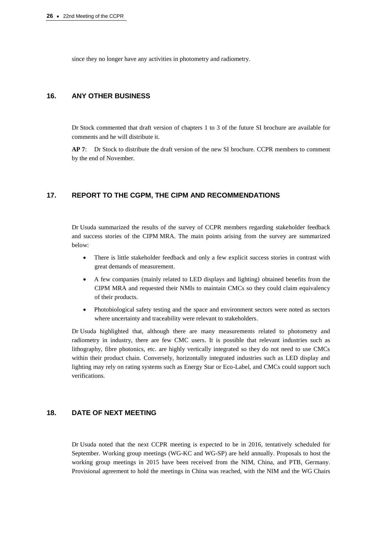since they no longer have any activities in photometry and radiometry.

## **16. ANY OTHER BUSINESS**

Dr Stock commented that draft version of chapters 1 to 3 of the future SI brochure are available for comments and he will distribute it.

**AP 7**: Dr Stock to distribute the draft version of the new SI brochure. CCPR members to comment by the end of November.

## **17. REPORT TO THE CGPM, THE CIPM AND RECOMMENDATIONS**

Dr Usuda summarized the results of the survey of CCPR members regarding stakeholder feedback and success stories of the CIPM MRA. The main points arising from the survey are summarized below:

- There is little stakeholder feedback and only a few explicit success stories in contrast with great demands of measurement.
- A few companies (mainly related to LED displays and lighting) obtained benefits from the CIPM MRA and requested their NMIs to maintain CMCs so they could claim equivalency of their products.
- Photobiological safety testing and the space and environment sectors were noted as sectors where uncertainty and traceability were relevant to stakeholders.

Dr Usuda highlighted that, although there are many measurements related to photometry and radiometry in industry, there are few CMC users. It is possible that relevant industries such as lithography, fibre photonics, etc. are highly vertically integrated so they do not need to use CMCs within their product chain. Conversely, horizontally integrated industries such as LED display and lighting may rely on rating systems such as Energy Star or Eco-Label, and CMCs could support such verifications.

## **18. DATE OF NEXT MEETING**

Dr Usuda noted that the next CCPR meeting is expected to be in 2016, tentatively scheduled for September. Working group meetings (WG-KC and WG-SP) are held annually. Proposals to host the working group meetings in 2015 have been received from the NIM, China, and PTB, Germany. Provisional agreement to hold the meetings in China was reached, with the NIM and the WG Chairs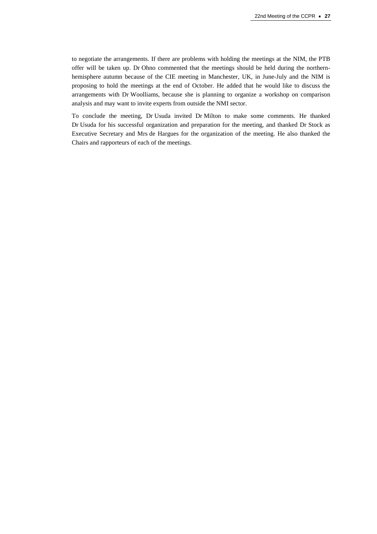to negotiate the arrangements. If there are problems with holding the meetings at the NIM, the PTB offer will be taken up. Dr Ohno commented that the meetings should be held during the northernhemisphere autumn because of the CIE meeting in Manchester, UK, in June-July and the NIM is proposing to hold the meetings at the end of October. He added that he would like to discuss the arrangements with Dr Woolliams, because she is planning to organize a workshop on comparison analysis and may want to invite experts from outside the NMI sector.

To conclude the meeting, Dr Usuda invited Dr Milton to make some comments. He thanked Dr Usuda for his successful organization and preparation for the meeting, and thanked Dr Stock as Executive Secretary and Mrs de Hargues for the organization of the meeting. He also thanked the Chairs and rapporteurs of each of the meetings.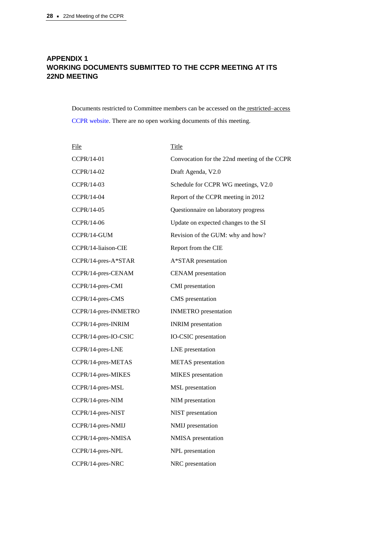## **APPENDIX 1 WORKING DOCUMENTS SUBMITTED TO THE CCPR MEETING AT ITS 22ND MEETING**

Documents restricted to Committee members can be accessed on the restricted–access [CCPR website.](http://www.bipm.org/cc/CCPR/Restricted/WorkingDocuments.jsp) There are no open working documents of this meeting.

| File                 | Title                                        |
|----------------------|----------------------------------------------|
| CCPR/14-01           | Convocation for the 22nd meeting of the CCPR |
| CCPR/14-02           | Draft Agenda, V2.0                           |
| CCPR/14-03           | Schedule for CCPR WG meetings, V2.0          |
| CCPR/14-04           | Report of the CCPR meeting in 2012           |
| CCPR/14-05           | Questionnaire on laboratory progress         |
| CCPR/14-06           | Update on expected changes to the SI         |
| CCPR/14-GUM          | Revision of the GUM: why and how?            |
| CCPR/14-liaison-CIE  | Report from the CIE                          |
| CCPR/14-pres-A*STAR  | A*STAR presentation                          |
| CCPR/14-pres-CENAM   | <b>CENAM</b> presentation                    |
| CCPR/14-pres-CMI     | CMI presentation                             |
| CCPR/14-pres-CMS     | CMS presentation                             |
| CCPR/14-pres-INMETRO | <b>INMETRO</b> presentation                  |
| CCPR/14-pres-INRIM   | <b>INRIM</b> presentation                    |
| CCPR/14-pres-IO-CSIC | IO-CSIC presentation                         |
| CCPR/14-pres-LNE     | LNE presentation                             |
| CCPR/14-pres-METAS   | METAS presentation                           |
| CCPR/14-pres-MIKES   | <b>MIKES</b> presentation                    |
| CCPR/14-pres-MSL     | MSL presentation                             |
| CCPR/14-pres-NIM     | NIM presentation                             |
| CCPR/14-pres-NIST    | NIST presentation                            |
| CCPR/14-pres-NMIJ    | NMIJ presentation                            |
| CCPR/14-pres-NMISA   | NMISA presentation                           |
| CCPR/14-pres-NPL     | NPL presentation                             |
| CCPR/14-pres-NRC     | NRC presentation                             |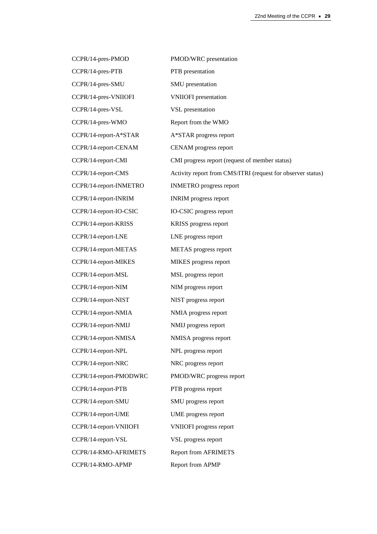CCPR/14-pres-PTB PTB presentation CCPR/14-pres-SMU SMU presentation CCPR/14-pres-VNIIOFI VNIIOFI presentation CCPR/14-pres-VSL VSL presentation CCPR/14-pres-WMO Report from the WMO CCPR/14-report-A\*STAR A\*STAR progress report CCPR/14-report-CENAM CENAM progress report CCPR/14-report-INRIM INRIM progress report CCPR/14-report-IO-CSIC IO-CSIC progress report CCPR/14-report-KRISS KRISS progress report CCPR/14-report-LNE LNE progress report CCPR/14-report-METAS METAS progress report CCPR/14-report-MIKES MIKES progress report CCPR/14-report-MSL MSL progress report CCPR/14-report-NIM NIM progress report CCPR/14-report-NIST NIST progress report CCPR/14-report-NMIA NMIA progress report CCPR/14-report-NMIJ NMIJ progress report CCPR/14-report-NMISA NMISA progress report CCPR/14-report-NPL NPL progress report CCPR/14-report-NRC NRC progress report CCPR/14-report-PTB PTB progress report CCPR/14-report-SMU SMU progress report CCPR/14-report-UME UME progress report CCPR/14-report-VNIIOFI VNIIOFI progress report CCPR/14-report-VSL VSL progress report CCPR/14-RMO-AFRIMETS Report from AFRIMETS CCPR/14-RMO-APMP Report from APMP

CCPR/14-pres-PMOD PMOD/WRC presentation CCPR/14-report-CMI CMI progress report (request of member status) CCPR/14-report-CMS Activity report from CMS/ITRI (request for observer status) CCPR/14-report-INMETRO INMETRO progress report CCPR/14-report-PMODWRC PMOD/WRC progress report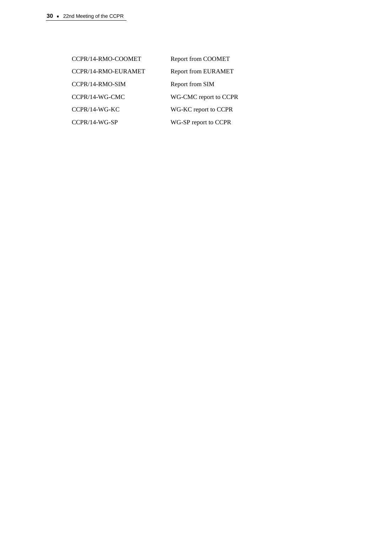| CCPR/14-RMO-COOMET  | Report from COOMET         |
|---------------------|----------------------------|
| CCPR/14-RMO-EURAMET | <b>Report from EURAMET</b> |
| CCPR/14-RMO-SIM     | Report from SIM            |
| CCPR/14-WG-CMC      | WG-CMC report to CCPR      |
| $CCPR/14-WG-KC$     | WG-KC report to CCPR       |
| CCPR/14-WG-SP       | WG-SP report to CCPR       |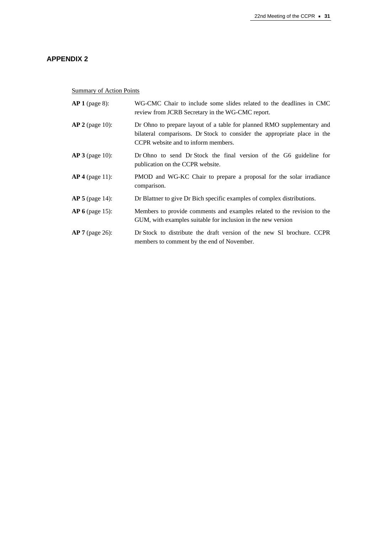## **APPENDIX 2**

## **Summary of Action Points**

| $AP1$ (page 8):   | WG-CMC Chair to include some slides related to the deadlines in CMC<br>review from JCRB Secretary in the WG-CMC report.                                                                   |
|-------------------|-------------------------------------------------------------------------------------------------------------------------------------------------------------------------------------------|
| $AP$ 2 (page 10): | Dr Ohno to prepare layout of a table for planned RMO supplementary and<br>bilateral comparisons. Dr Stock to consider the appropriate place in the<br>CCPR website and to inform members. |
| $AP3$ (page 10):  | Dr Ohno to send Dr Stock the final version of the G6 guideline for<br>publication on the CCPR website.                                                                                    |
| $AP$ 4 (page 11): | PMOD and WG-KC Chair to prepare a proposal for the solar irradiance<br>comparison.                                                                                                        |
| $AP 5$ (page 14): | Dr Blattner to give Dr Bich specific examples of complex distributions.                                                                                                                   |
| $AP 6$ (page 15): | Members to provide comments and examples related to the revision to the<br>GUM, with examples suitable for inclusion in the new version                                                   |
| $AP7$ (page 26):  | Dr Stock to distribute the draft version of the new SI brochure. CCPR<br>members to comment by the end of November.                                                                       |